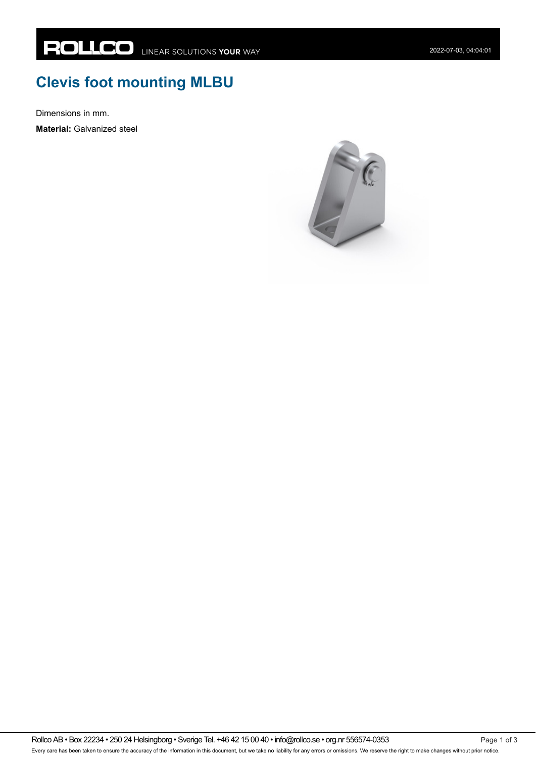## **Clevis foot mounting MLBU**

Dimensions in mm.

**Material:** Galvanized steel



Rollco AB • Box 22234 • 250 24 Helsingborg • Sverige Tel. +46 42 15 00 40 • info@rollco.se • org.nr 556574-0353 Every care has been taken to ensure the accuracy of the information in this document, but we take no liability for any errors or omissions. We reserve the right to make changes without prior notice.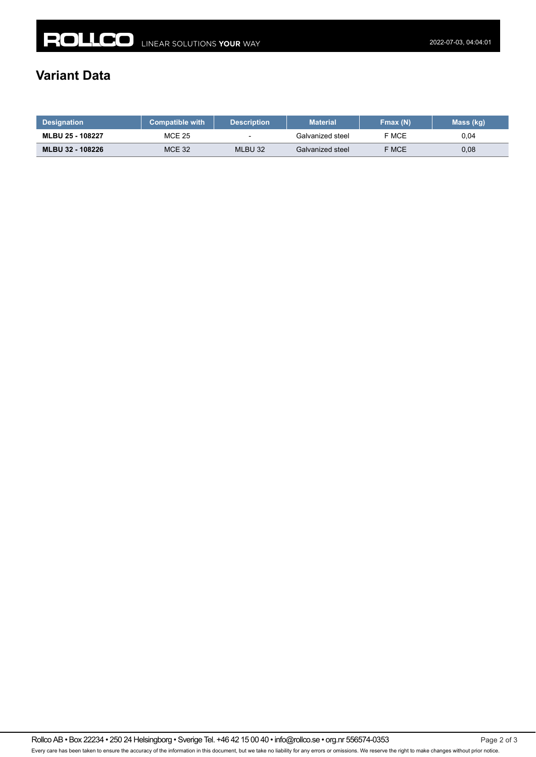## **Variant Data**

| <b>Designation</b> | <b>Compatible with</b> | <b>Description</b>       | <b>Material</b>  | Fmax(N) | Mass (kg) |
|--------------------|------------------------|--------------------------|------------------|---------|-----------|
| MLBU 25 - 108227   | <b>MCE 25</b>          | $\overline{\phantom{a}}$ | Galvanized steel | F MCE   | 0.04      |
| MLBU 32 - 108226   | MCE 32                 | MLBU 32                  | Galvanized steel | F MCE   | 0,08      |

Rollco AB • Box 22234 • 250 24 Helsingborg • Sverige Tel. +46 42 15 00 40 • info@rollco.se • org.nr 556574-0353 Page 2 of 3 Every care has been taken to ensure the accuracy of the information in this document, but we take no liability for any errors or omissions. We reserve the right to make changes without prior notice.